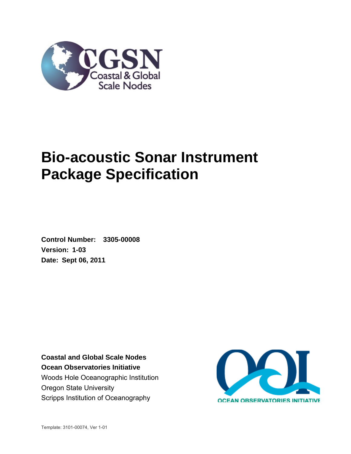

# **Bio-acoustic Sonar Instrument Package Specification**

**Control Number: 3305-00008 Version: 1-03 Date: Sept 06, 2011** 

**Coastal and Global Scale Nodes Ocean Observatories Initiative**  Woods Hole Oceanographic Institution Oregon State University Scripps Institution of Oceanography

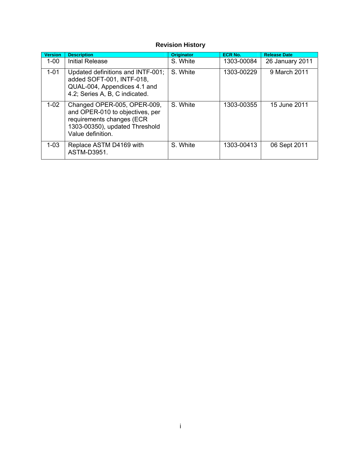## **Revision History**

| <b>Version</b> | <b>Description</b>                                                                                                                                 | <b>Originator</b> | <b>ECR No.</b> | <b>Release Date</b> |
|----------------|----------------------------------------------------------------------------------------------------------------------------------------------------|-------------------|----------------|---------------------|
| $1 - 00$       | Initial Release                                                                                                                                    | S. White          | 1303-00084     | 26 January 2011     |
| $1 - 01$       | Updated definitions and INTF-001;<br>added SOFT-001, INTF-018,<br>QUAL-004, Appendices 4.1 and<br>4.2; Series A, B, C indicated.                   | S. White          | 1303-00229     | 9 March 2011        |
| $1-02$         | Changed OPER-005, OPER-009,<br>and OPER-010 to objectives, per<br>requirements changes (ECR<br>1303-00350), updated Threshold<br>Value definition. | S. White          | 1303-00355     | 15 June 2011        |
| $1 - 03$       | Replace ASTM D4169 with<br>ASTM-D3951.                                                                                                             | S. White          | 1303-00413     | 06 Sept 2011        |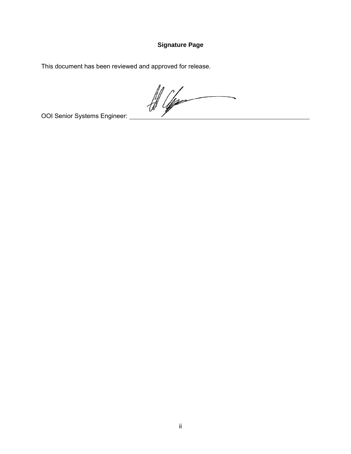## **Signature Page**

This document has been reviewed and approved for release.

 $\frac{d}{d\mu}$ 

OOI Senior Systems Engineer: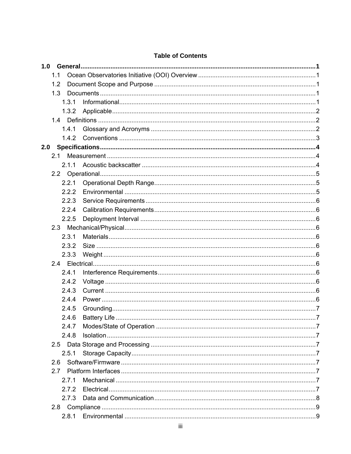|     | 1.1           |  |
|-----|---------------|--|
|     | 1.2           |  |
|     | 1.3           |  |
|     | 1.3.1         |  |
|     | 1.3.2         |  |
|     |               |  |
|     | 1.4.1         |  |
|     | 1.4.2         |  |
| 2.0 |               |  |
|     | 2.1           |  |
|     | 2.1.1         |  |
|     |               |  |
|     | 2.2.1         |  |
|     | 2.2.2         |  |
|     | 2.2.3         |  |
|     | 2.2.4         |  |
|     | 2.2.5         |  |
|     |               |  |
|     | 2.3.1         |  |
|     | 2.3.2         |  |
|     | 2.3.3         |  |
|     |               |  |
|     | 2.4.1         |  |
|     | 2.4.2         |  |
|     | 2.4.3         |  |
|     | 2.4.4         |  |
|     | 2.4.5         |  |
|     | 2.4.6         |  |
|     | 2.4.7         |  |
|     | 2.4.8         |  |
|     | $2.5^{\circ}$ |  |
|     | 2.5.1         |  |
|     | 2.6           |  |
|     | 2.7           |  |
|     | 2.7.1         |  |
|     | 272           |  |
|     | 2.7.3         |  |
|     |               |  |
|     |               |  |

## **Table of Contents**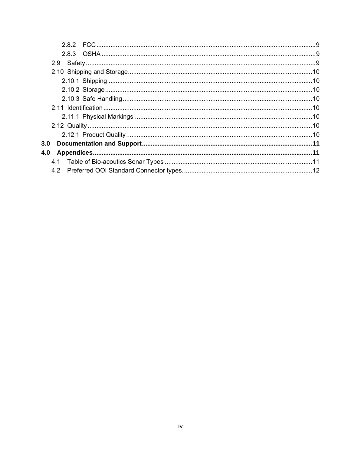| 3.0 |  |
|-----|--|
| 4.0 |  |
|     |  |
|     |  |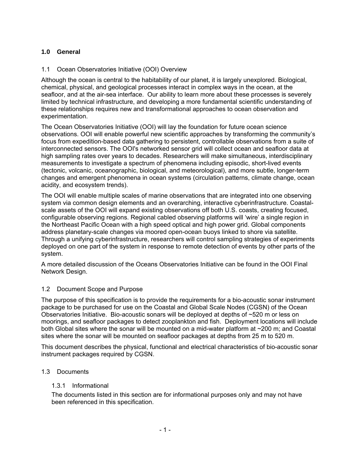## <span id="page-5-0"></span>**1.0 General**

## <span id="page-5-1"></span>1.1 Ocean Observatories Initiative (OOI) Overview

Although the ocean is central to the habitability of our planet, it is largely unexplored. Biological, chemical, physical, and geological processes interact in complex ways in the ocean, at the seafloor, and at the air-sea interface. Our ability to learn more about these processes is severely limited by technical infrastructure, and developing a more fundamental scientific understanding of these relationships requires new and transformational approaches to ocean observation and experimentation.

The Ocean Observatories Initiative (OOI) will lay the foundation for future ocean science observations. OOI will enable powerful new scientific approaches by transforming the community's focus from expedition-based data gathering to persistent, controllable observations from a suite of interconnected sensors. The OOI's networked sensor grid will collect ocean and seafloor data at high sampling rates over years to decades. Researchers will make simultaneous, interdisciplinary measurements to investigate a spectrum of phenomena including episodic, short-lived events (tectonic, volcanic, oceanographic, biological, and meteorological), and more subtle, longer-term changes and emergent phenomena in ocean systems (circulation patterns, climate change, ocean acidity, and ecosystem trends).

The OOI will enable multiple scales of marine observations that are integrated into one observing system via common design elements and an overarching, interactive cyberinfrastructure. Coastalscale assets of the OOI will expand existing observations off both U.S. coasts, creating focused, configurable observing regions. Regional cabled observing platforms will 'wire' a single region in the Northeast Pacific Ocean with a high speed optical and high power grid. Global components address planetary-scale changes via moored open-ocean buoys linked to shore via satellite. Through a unifying cyberinfrastructure, researchers will control sampling strategies of experiments deployed on one part of the system in response to remote detection of events by other parts of the system.

A more detailed discussion of the Oceans Observatories Initiative can be found in the OOI Final Network Design.

#### <span id="page-5-2"></span>1.2 Document Scope and Purpose

The purpose of this specification is to provide the requirements for a bio-acoustic sonar instrument package to be purchased for use on the Coastal and Global Scale Nodes (CGSN) of the Ocean Observatories Initiative. Bio-acoustic sonars will be deployed at depths of ~520 m or less on moorings, and seafloor packages to detect zooplankton and fish. Deployment locations will include both Global sites where the sonar will be mounted on a mid-water platform at ~200 m; and Coastal sites where the sonar will be mounted on seafloor packages at depths from 25 m to 520 m.

This document describes the physical, functional and electrical characteristics of bio-acoustic sonar instrument packages required by CGSN.

#### <span id="page-5-4"></span><span id="page-5-3"></span>1.3 Documents

#### 1.3.1 Informational

The documents listed in this section are for informational purposes only and may not have been referenced in this specification.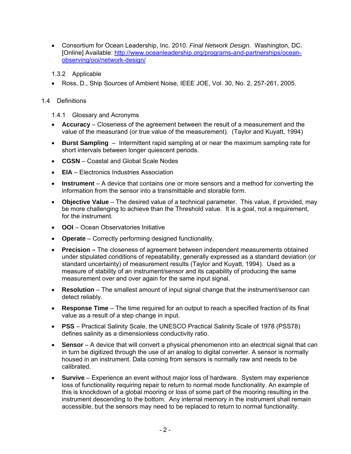- Consortium for Ocean Leadership, Inc. 2010. *Final Network Design.* Washington, DC. [Online] Available: [http://www.oceanleadership.org/programs-and-partnerships/ocean](http://www.oceanleadership.org/programs-and-partnerships/ocean-observing/ooi/network-design/)[observing/ooi/network-design/](http://www.oceanleadership.org/programs-and-partnerships/ocean-observing/ooi/network-design/)
- 1.3.2 Applicable
- Ross, D., Ship Sources of Ambient Noise, IEEE JOE, Vol. 30, No. 2, 257-261, 2005.
- <span id="page-6-2"></span><span id="page-6-1"></span><span id="page-6-0"></span>1.4 Definitions
	- 1.4.1 Glossary and Acronyms
	- **Accuracy** Closeness of the agreement between the result of a measurement and the value of the measurand (or true value of the measurement). (Taylor and Kuyatt, 1994)
	- **Burst Sampling** Intermittent rapid sampling at or near the maximum sampling rate for short intervals between longer quiescent periods.
	- **CGSN** Coastal and Global Scale Nodes
	- **EIA** Electronics Industries Association
	- **Instrument** A device that contains one or more sensors and a method for converting the information from the sensor into a transmittable and storable form.
	- **Objective Value** The desired value of a technical parameter. This value, if provided, may be more challenging to achieve than the Threshold value. It is a goal, not a requirement, for the instrument.
	- **OOI**  Ocean Observatories Initiative
	- **Operate** Correctly performing designed functionality.
	- **Precision** The closeness of agreement between independent measurements obtained under stipulated conditions of repeatability, generally expressed as a standard deviation (or standard uncertainty) of measurement results (Taylor and Kuyatt, 1994). Used as a measure of stability of an instrument/sensor and its capability of producing the same measurement over and over again for the same input signal.
	- **Resolution** The smallest amount of input signal change that the instrument/sensor can detect reliably.
	- **Response Time** The time required for an output to reach a specified fraction of its final value as a result of a step change in input.
	- **PSS** Practical Salinity Scale, the UNESCO Practical Salinity Scale of 1978 (PSS78) defines salinity as a dimensionless conductivity ratio.
	- **Sensor** A device that will convert a physical phenomenon into an electrical signal that can in turn be digitized through the use of an analog to digital converter. A sensor is normally housed in an instrument. Data coming from sensors is normally raw and needs to be calibrated.
	- **Survive** Experience an event without major loss of hardware. System may experience loss of functionality requiring repair to return to normal mode functionality. An example of this is knockdown of a global mooring or loss of some part of the mooring resulting in the instrument descending to the bottom. Any internal memory in the instrument shall remain accessible, but the sensors may need to be replaced to return to normal functionality.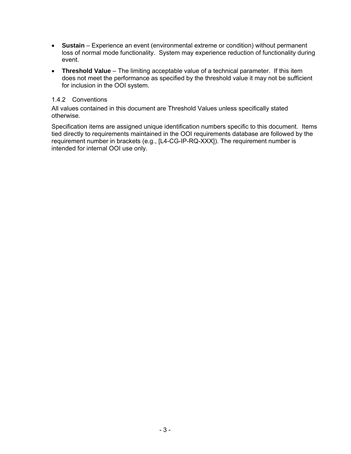- **Sustain** Experience an event (environmental extreme or condition) without permanent loss of normal mode functionality. System may experience reduction of functionality during event.
- **Threshold Value** The limiting acceptable value of a technical parameter. If this item does not meet the performance as specified by the threshold value it may not be sufficient for inclusion in the OOI system.

#### 1.4.2 Conventions

<span id="page-7-0"></span>All values contained in this document are Threshold Values unless specifically stated otherwise.

Specification items are assigned unique identification numbers specific to this document. Items tied directly to requirements maintained in the OOI requirements database are followed by the requirement number in brackets (e.g., [L4-CG-IP-RQ-XXX]). The requirement number is intended for internal OOI use only.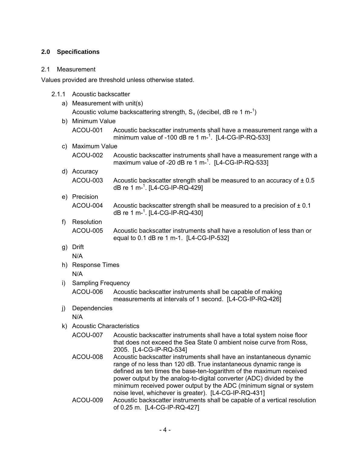## <span id="page-8-0"></span>**2.0 Specifications**

#### <span id="page-8-1"></span>2.1 Measurement

<span id="page-8-2"></span>Values provided are threshold unless otherwise stated.

- 2.1.1 Acoustic backscatter
	- a) Measurement with unit(s) Acoustic volume backscattering strength,  $S_v$  (decibel, dB re 1 m-<sup>1</sup>)
	- b) Minimum Value
		- ACOU-001 Acoustic backscatter instruments shall have a measurement range with a minimum value of -100 dB re 1 m- $^1$ . [L4-CG-IP-RQ-533]
	- c) Maximum Value
		- ACOU-002 Acoustic backscatter instruments shall have a measurement range with a maximum value of -20 dB re 1 m $^{-1}$ . [L4-CG-IP-RQ-533]
	- d) Accuracy ACOU-003 Acoustic backscatter strength shall be measured to an accuracy of  $\pm 0.5$ dB re 1 m-<sup>1</sup> . [L4-CG-IP-RQ-429]
	- e) Precision ACOU-004 Acoustic backscatter strength shall be measured to a precision of  $\pm$  0.1 dB re 1 m-<sup>1</sup>. [L4-CG-IP-RQ-430]
	- f) Resolution ACOU-005 Acoustic backscatter instruments shall have a resolution of less than or equal to 0.1 dB re 1 m-1. [L4-CG-IP-532]
	- g) Drift N/A
	- h) Response Times N/A
	- i) Sampling Frequency

ACOU-006 Acoustic backscatter instruments shall be capable of making measurements at intervals of 1 second. [L4-CG-IP-RQ-426]

j) Dependencies

N/A

- k) Acoustic Characteristics
	- ACOU-007 Acoustic backscatter instruments shall have a total system noise floor that does not exceed the Sea State 0 ambient noise curve from Ross, 2005. [L4-CG-IP-RQ-534]
	- ACOU-008 Acoustic backscatter instruments shall have an instantaneous dynamic range of no less than 120 dB. True instantaneous dynamic range is defined as ten times the base-ten-logarithm of the maximum received power output by the analog-to-digital converter (ADC) divided by the minimum received power output by the ADC (minimum signal or system noise level, whichever is greater). [L4-CG-IP-RQ-431]
	- ACOU-009 Acoustic backscatter instruments shall be capable of a vertical resolution of 0.25 m. [L4-CG-IP-RQ-427]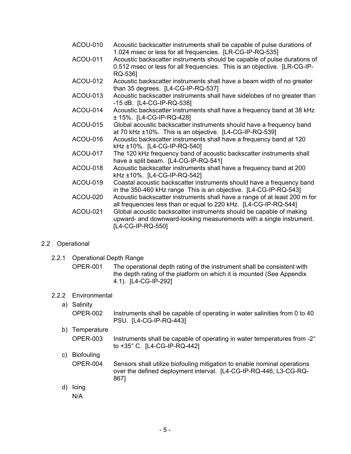- ACOU-010 Acoustic backscatter instruments shall be capable of pulse durations of 1.024 msec or less for all frequencies. [LR-CG-IP-RQ-535]
- ACOU-011 Acoustic backscatter instruments should be capable of pulse durations of 0.512 msec or less for all frequencies. This is an objective. [LR-CG-IP-RQ-536]
- ACOU-012 Acoustic backscatter instruments shall have a beam width of no greater than 35 degrees. [L4-CG-IP-RQ-537]
- ACOU-013 Acoustic backscatter instruments shall have sidelobes of no greater than -15 dB. [L4-CG-IP-RQ-538]
- ACOU-014 Acoustic backscatter instruments shall have a frequency band at 38 kHz ± 15%. [L4-CG-IP-RQ-428]
- ACOU-015 Global acoustic backscatter instruments should have a frequency band at 70 kHz ±10%. This is an objective. [L4-CG-IP-RQ-539]
- ACOU-016 Acoustic backscatter instruments shall have a frequency band at 120 kHz ±10%. [L4-CG-IP-RQ-540]
- ACOU-017 The 120 kHz frequency band of acoustic backscatter instruments shall have a split beam. [L4-CG-IP-RQ-541]
- ACOU-018 Acoustic backscatter instruments shall have a frequency band at 200 kHz ±10%. [L4-CG-IP-RQ-542]
- ACOU-019 Coastal acoustic backscatter instruments should have a frequency band in the 350-460 kHz range This is an objective. [L4-CG-IP-RQ-543]
- ACOU-020 Acoustic backscatter instruments shall have a range of at least 200 m for all frequencies less than or equal to 220 kHz. [L4-CG-IP-RQ-544]
- ACOU-021 Global acoustic backscatter instruments should be capable of making upward- and downward-looking measurements with a single instrument. [L4-CG-IP-RQ-550]

## <span id="page-9-1"></span><span id="page-9-0"></span>2.2 Operational

- 2.2.1 Operational Depth Range
	- OPER-001 The operational depth rating of the instrument shall be consistent with the depth rating of the platform on which it is mounted (See Appendix 4.1). [L4-CG-IP-292]

## <span id="page-9-2"></span>2.2.2 Environmental

- a) Salinity
	- OPER-002 Instruments shall be capable of operating in water salinities from 0 to 40 PSU. [L4-CG-IP-RQ-443]
- b) Temperature OPER-003 Instruments shall be capable of operating in water temperatures from -2° to +35° C. [L4-CG-IP-RQ-442]

## c) Biofouling OPER-004 Sensors shall utilize biofouling mitigation to enable nominal operations over the defined deployment interval. [L4-CG-IP-RQ-446; L3-CG-RQ-867]

d) Icing N/A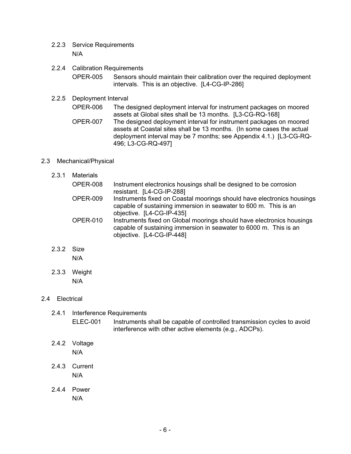- <span id="page-10-0"></span>2.2.3 Service Requirements N/A
- <span id="page-10-1"></span>2.2.4 Calibration Requirements

OPER-005 Sensors should maintain their calibration over the required deployment intervals. This is an objective. [L4-CG-IP-286]

## <span id="page-10-2"></span>2.2.5 Deployment Interval

OPER-006 The designed deployment interval for instrument packages on moored assets at Global sites shall be 13 months. [L3-CG-RQ-168] OPER-007 The designed deployment interval for instrument packages on moored assets at Coastal sites shall be 13 months. (In some cases the actual deployment interval may be 7 months; see Appendix 4.1.) [L3-CG-RQ-496; L3-CG-RQ-497]

#### <span id="page-10-4"></span><span id="page-10-3"></span>2.3 Mechanical/Physical

| 2.3.1 | <b>Materials</b> |                                                                                                                                                                         |
|-------|------------------|-------------------------------------------------------------------------------------------------------------------------------------------------------------------------|
|       | OPER-008         | Instrument electronics housings shall be designed to be corrosion<br>resistant. [L4-CG-IP-288]                                                                          |
|       | <b>OPER-009</b>  | Instruments fixed on Coastal moorings should have electronics housings<br>capable of sustaining immersion in seawater to 600 m. This is an<br>objective. [L4-CG-IP-435] |
|       | <b>OPER-010</b>  | Instruments fixed on Global moorings should have electronics housings<br>capable of sustaining immersion in seawater to 6000 m. This is an<br>objective. [L4-CG-IP-448] |

<span id="page-10-5"></span>2.3.2 Size

N/A

2.3.3 Weight N/A

## <span id="page-10-8"></span><span id="page-10-7"></span><span id="page-10-6"></span>2.4 Electrical

## 2.4.1 Interference Requirements ELEC-001 Instruments shall be capable of controlled transmission cycles to avoid interference with other active elements (e.g., ADCPs).

- <span id="page-10-9"></span>2.4.2 Voltage N/A
- <span id="page-10-10"></span>2.4.3 Current N/A
- <span id="page-10-11"></span>2.4.4 Power N/A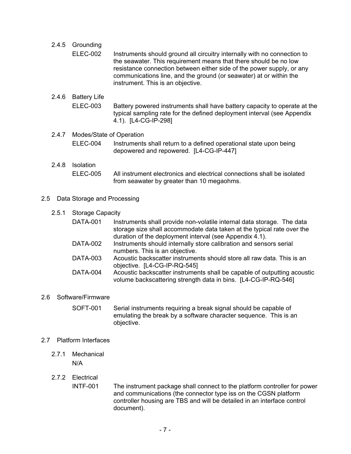## <span id="page-11-0"></span>2.4.5 Grounding

ELEC-002 Instruments should ground all circuitry internally with no connection to the seawater. This requirement means that there should be no low resistance connection between either side of the power supply, or any communications line, and the ground (or seawater) at or within the instrument. This is an objective.

## <span id="page-11-1"></span>2.4.6 Battery Life

ELEC-003 Battery powered instruments shall have battery capacity to operate at the typical sampling rate for the defined deployment interval (see Appendix 4.1). [L4-CG-IP-298]

#### <span id="page-11-2"></span>2.4.7 Modes/State of Operation

ELEC-004 Instruments shall return to a defined operational state upon being depowered and repowered. [L4-CG-IP-447]

#### <span id="page-11-3"></span>2.4.8 Isolation ELEC-005 All instrument electronics and electrical connections shall be isolated from seawater by greater than 10 megaohms.

#### <span id="page-11-5"></span><span id="page-11-4"></span>2.5 Data Storage and Processing

#### 2.5.1 Storage Capacity

| <b>DATA-001</b> | Instruments shall provide non-volatile internal data storage. The data<br>storage size shall accommodate data taken at the typical rate over the |
|-----------------|--------------------------------------------------------------------------------------------------------------------------------------------------|
|                 | duration of the deployment interval (see Appendix 4.1).                                                                                          |
| DATA-002        | Instruments should internally store calibration and sensors serial                                                                               |
|                 | numbers. This is an objective.                                                                                                                   |
| <b>DATA-003</b> | Acoustic backscatter instruments should store all raw data. This is an                                                                           |
|                 | objective. [L4-CG-IP-RQ-545]                                                                                                                     |
| <b>DATA-004</b> | Acoustic backscatter instruments shall be capable of outputting acoustic<br>volume backscattering strength data in bins. [L4-CG-IP-RQ-546]       |
|                 |                                                                                                                                                  |

#### <span id="page-11-6"></span>2.6 Software/Firmware

SOFT-001 Serial instruments requiring a break signal should be capable of emulating the break by a software character sequence. This is an objective.

#### <span id="page-11-8"></span><span id="page-11-7"></span>2.7 Platform Interfaces

- 2.7.1 Mechanical N/A
- <span id="page-11-9"></span>2.7.2 Electrical

INTF-001 The instrument package shall connect to the platform controller for power and communications (the connector type iss on the CGSN platform controller housing are TBS and will be detailed in an interface control document).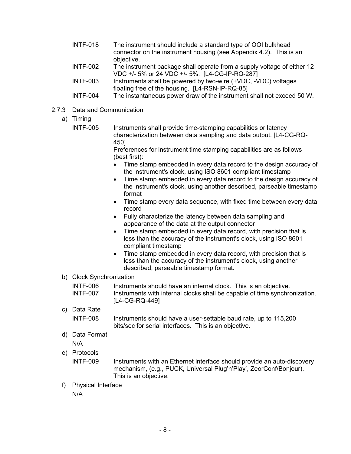- INTF-018 The instrument should include a standard type of OOI bulkhead connector on the instrument housing (see Appendix 4.2). This is an objective.
- INTF-002 The instrument package shall operate from a supply voltage of either 12 VDC +/- 5% or 24 VDC +/- 5%. [L4-CG-IP-RQ-287]
- INTF-003 Instruments shall be powered by two-wire (+VDC, -VDC) voltages floating free of the housing. [L4-RSN-IP-RQ-85]
- INTF-004 The instantaneous power draw of the instrument shall not exceed 50 W.
- <span id="page-12-0"></span>2.7.3 Data and Communication
	- a) Timing
		- INTF-005 Instruments shall provide time-stamping capabilities or latency characterization between data sampling and data output. [L4-CG-RQ-450]

Preferences for instrument time stamping capabilities are as follows (best first):

- Time stamp embedded in every data record to the design accuracy of the instrument's clock, using ISO 8601 compliant timestamp
- Time stamp embedded in every data record to the design accuracy of the instrument's clock, using another described, parseable timestamp format
- Time stamp every data sequence, with fixed time between every data record
- Fully characterize the latency between data sampling and appearance of the data at the output connector
- Time stamp embedded in every data record, with precision that is less than the accuracy of the instrument's clock, using ISO 8601 compliant timestamp
- Time stamp embedded in every data record, with precision that is less than the accuracy of the instrument's clock, using another described, parseable timestamp format.
- b) Clock Synchronization

| INTF-006 | Instruments should have an internal clock. This is an objective.           |
|----------|----------------------------------------------------------------------------|
| INTF-007 | Instruments with internal clocks shall be capable of time synchronization. |
|          | [L4-CG-RQ-449]                                                             |

c) Data Rate

INTF-008 Instruments should have a user-settable baud rate, up to 115,200 bits/sec for serial interfaces. This is an objective.

d) Data Format

N/A

e) Protocols

INTF-009 Instruments with an Ethernet interface should provide an auto-discovery mechanism, (e.g., PUCK, Universal Plug'n'Play', ZeorConf/Bonjour). This is an objective.

f) Physical Interface

N/A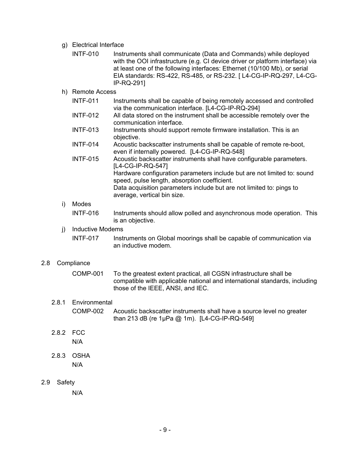g) Electrical Interface

| INTF-010 | Instruments shall communicate (Data and Commands) while deployed              |
|----------|-------------------------------------------------------------------------------|
|          | with the OOI infrastructure (e.g. CI device driver or platform interface) via |
|          | at least one of the following interfaces: Ethernet (10/100 Mb), or serial     |
|          | EIA standards: RS-422, RS-485, or RS-232. [L4-CG-IP-RQ-297, L4-CG-            |
|          | IP-RQ-2911                                                                    |

#### h) Remote Access

|    | <b>INTF-011</b> | Instruments shall be capable of being remotely accessed and controlled<br>via the communication interface. [L4-CG-IP-RQ-294] |
|----|-----------------|------------------------------------------------------------------------------------------------------------------------------|
|    | <b>INTF-012</b> | All data stored on the instrument shall be accessible remotely over the<br>communication interface.                          |
|    | <b>INTF-013</b> | Instruments should support remote firmware installation. This is an<br>objective.                                            |
|    | <b>INTF-014</b> | Acoustic backscatter instruments shall be capable of remote re-boot,<br>even if internally powered. [L4-CG-IP-RQ-548]        |
|    | <b>INTF-015</b> | Acoustic backscatter instruments shall have configurable parameters.<br>[L4-CG-IP-RQ-547]                                    |
|    |                 | Hardware configuration parameters include but are not limited to: sound<br>speed, pulse length, absorption coefficient.      |
|    |                 | Data acquisition parameters include but are not limited to: pings to<br>average, vertical bin size.                          |
| i) | Modes           |                                                                                                                              |

INTF-016 Instruments should allow polled and asynchronous mode operation. This is an objective.

#### j) Inductive Modems

INTF-017 Instruments on Global moorings shall be capable of communication via an inductive modem.

#### <span id="page-13-0"></span>2.8 Compliance

| COMP-001 | To the greatest extent practical, all CGSN infrastructure shall be         |
|----------|----------------------------------------------------------------------------|
|          | compatible with applicable national and international standards, including |
|          | those of the IEEE, ANSI, and IEC.                                          |

## <span id="page-13-1"></span>2.8.1 Environmental

- COMP-002 Acoustic backscatter instruments shall have a source level no greater than 213 dB (re 1μPa @ 1m). [L4-CG-IP-RQ-549]
- <span id="page-13-2"></span>2.8.2 FCC N/A
- 2.8.3 OSHA N/A
- <span id="page-13-4"></span><span id="page-13-3"></span>2.9 Safety

N/A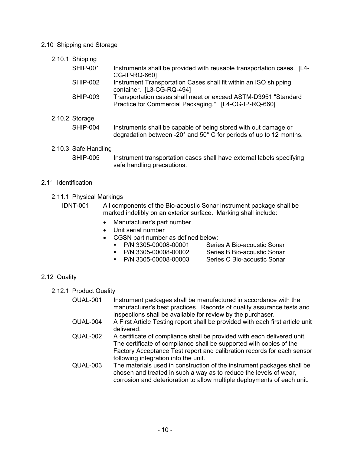#### <span id="page-14-1"></span><span id="page-14-0"></span>2.10 Shipping and Storage

2.10.1 Shipping

| <b>SHIP-001</b> | Instruments shall be provided with reusable transportation cases. [L4-<br>CG-IP-RQ-660]                                 |
|-----------------|-------------------------------------------------------------------------------------------------------------------------|
| <b>SHIP-002</b> | Instrument Transportation Cases shall fit within an ISO shipping<br>container. [L3-CG-RQ-494]                           |
| <b>SHIP-003</b> | Transportation cases shall meet or exceed ASTM-D3951 "Standard<br>Practice for Commercial Packaging." [L4-CG-IP-RQ-660] |
| <b>Storage</b>  |                                                                                                                         |

## <span id="page-14-2"></span>2.10.2 Storage

| SHIP-004 | Instruments shall be capable of being stored with out damage or                        |
|----------|----------------------------------------------------------------------------------------|
|          | degradation between -20 $^{\circ}$ and 50 $^{\circ}$ C for periods of up to 12 months. |

<span id="page-14-3"></span>2.10.3 Safe Handling SHIP-005 Instrument transportation cases shall have external labels specifying safe handling precautions.

#### <span id="page-14-5"></span><span id="page-14-4"></span>2.11 Identification

- 2.11.1 Physical Markings
	- IDNT-001 All components of the Bio-acoustic Sonar instrument package shall be marked indelibly on an exterior surface. Marking shall include:
		- Manufacturer's part number
		- Unit serial number
		- CGSN part number as defined below:
			- P/N 3305-00008-00001 Series A Bio-acoustic Sonar
				-
			- P/N 3305-00008-00002 Series B Bio-acoustic Sonar P/N 3305-00008-00003 Series C Bio-acoustic Sonar
			-

## <span id="page-14-7"></span><span id="page-14-6"></span>2.12 Quality

2.12.1 Product Quality

- QUAL-001 Instrument packages shall be manufactured in accordance with the manufacturer's best practices. Records of quality assurance tests and inspections shall be available for review by the purchaser.
- QUAL-004 A First Article Testing report shall be provided with each first article unit delivered.
- QUAL-002 A certificate of compliance shall be provided with each delivered unit. The certificate of compliance shall be supported with copies of the Factory Acceptance Test report and calibration records for each sensor following integration into the unit.
- QUAL-003 The materials used in construction of the instrument packages shall be chosen and treated in such a way as to reduce the levels of wear, corrosion and deterioration to allow multiple deployments of each unit.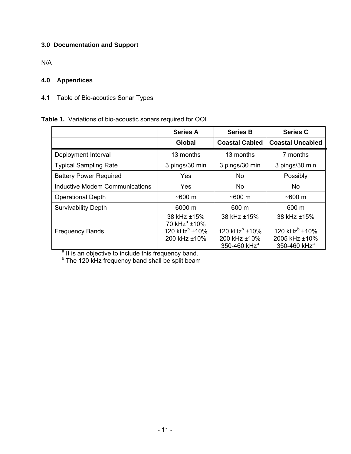## <span id="page-15-0"></span>**3.0 Documentation and Support**

N/A

## <span id="page-15-1"></span>**4.0 Appendices**

<span id="page-15-2"></span>4.1 Table of Bio-acoutics Sonar Types

## **Table 1.** Variations of bio-acoustic sonars required for OOI

|                                | <b>Series A</b>                                                                      | <b>Series B</b>                                                                      | <b>Series C</b>                                                                       |
|--------------------------------|--------------------------------------------------------------------------------------|--------------------------------------------------------------------------------------|---------------------------------------------------------------------------------------|
|                                | Global                                                                               | <b>Coastal Cabled</b>                                                                | <b>Coastal Uncabled</b>                                                               |
| Deployment Interval            | 13 months                                                                            | 13 months                                                                            | 7 months                                                                              |
| <b>Typical Sampling Rate</b>   | 3 pings/30 min                                                                       | 3 pings/30 min                                                                       | 3 pings/30 min                                                                        |
| <b>Battery Power Required</b>  | Yes                                                                                  | <b>No</b>                                                                            | Possibly                                                                              |
| Inductive Modem Communications | Yes                                                                                  | No.                                                                                  | No.                                                                                   |
| <b>Operational Depth</b>       | $~100 \text{ m}$                                                                     | $~100 \text{ m}$                                                                     | $~100 \text{ m}$                                                                      |
| <b>Survivability Depth</b>     | 6000 m                                                                               | 600 m                                                                                | 600 m                                                                                 |
| <b>Frequency Bands</b>         | 38 kHz ±15%<br>70 kHz <sup>a</sup> ±10%<br>120 kHz <sup>b</sup> ±10%<br>200 kHz ±10% | 38 kHz ±15%<br>120 kHz <sup>b</sup> ±10%<br>200 kHz ±10%<br>350-460 kHz <sup>a</sup> | 38 kHz ±15%<br>120 kHz <sup>b</sup> ±10%<br>2005 kHz ±10%<br>350-460 kHz <sup>a</sup> |

<sup>a</sup> It is an objective to include this frequency band.<br><sup>b</sup> The 120 kHz frequency band shall be split beam